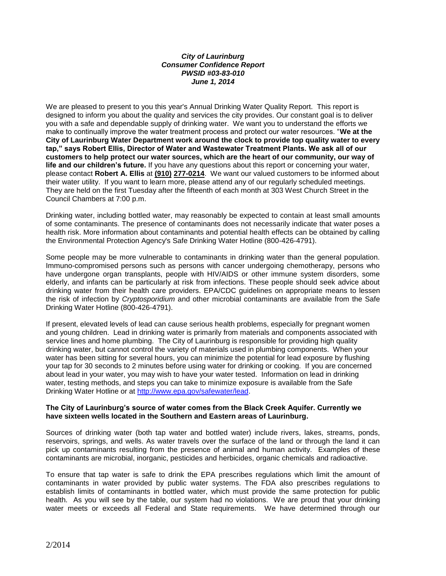#### *City of Laurinburg Consumer Confidence Report PWSID #03-83-010 June 1, 2014*

We are pleased to present to you this year's Annual Drinking Water Quality Report. This report is designed to inform you about the quality and services the city provides. Our constant goal is to deliver you with a safe and dependable supply of drinking water. We want you to understand the efforts we make to continually improve the water treatment process and protect our water resources. "**We at the City of Laurinburg Water Department work around the clock to provide top quality water to every tap," says Robert Ellis, Director of Water and Wastewater Treatment Plants. We ask all of our customers to help protect our water sources, which are the heart of our community, our way of life and our children's future.** If you have any questions about this report or concerning your water, please contact **Robert A. Ellis** at **(910) 277-0214**. We want our valued customers to be informed about their water utility. If you want to learn more, please attend any of our regularly scheduled meetings. They are held on the first Tuesday after the fifteenth of each month at 303 West Church Street in the Council Chambers at 7:00 p.m.

Drinking water, including bottled water, may reasonably be expected to contain at least small amounts of some contaminants. The presence of contaminants does not necessarily indicate that water poses a health risk. More information about contaminants and potential health effects can be obtained by calling the Environmental Protection Agency's Safe Drinking Water Hotline (800-426-4791).

Some people may be more vulnerable to contaminants in drinking water than the general population. Immuno-compromised persons such as persons with cancer undergoing chemotherapy, persons who have undergone organ transplants, people with HIV/AIDS or other immune system disorders, some elderly, and infants can be particularly at risk from infections. These people should seek advice about drinking water from their health care providers. EPA/CDC guidelines on appropriate means to lessen the risk of infection by *Cryptosporidium* and other microbial contaminants are available from the Safe Drinking Water Hotline (800-426-4791).

If present, elevated levels of lead can cause serious health problems, especially for pregnant women and young children. Lead in drinking water is primarily from materials and components associated with service lines and home plumbing. The City of Laurinburg is responsible for providing high quality drinking water, but cannot control the variety of materials used in plumbing components. When your water has been sitting for several hours, you can minimize the potential for lead exposure by flushing your tap for 30 seconds to 2 minutes before using water for drinking or cooking. If you are concerned about lead in your water, you may wish to have your water tested. Information on lead in drinking water, testing methods, and steps you can take to minimize exposure is available from the Safe Drinking Water Hotline or at [http://www.epa.gov/safewater/lead.](http://www.epa.gov/safewater/lead)

#### **The City of Laurinburg's source of water comes from the Black Creek Aquifer. Currently we have sixteen wells located in the Southern and Eastern areas of Laurinburg.**

Sources of drinking water (both tap water and bottled water) include rivers, lakes, streams, ponds, reservoirs, springs, and wells. As water travels over the surface of the land or through the land it can pick up contaminants resulting from the presence of animal and human activity. Examples of these contaminants are microbial, inorganic, pesticides and herbicides, organic chemicals and radioactive.

To ensure that tap water is safe to drink the EPA prescribes regulations which limit the amount of contaminants in water provided by public water systems. The FDA also prescribes regulations to establish limits of contaminants in bottled water, which must provide the same protection for public health. As you will see by the table, our system had no violations. We are proud that your drinking water meets or exceeds all Federal and State requirements. We have determined through our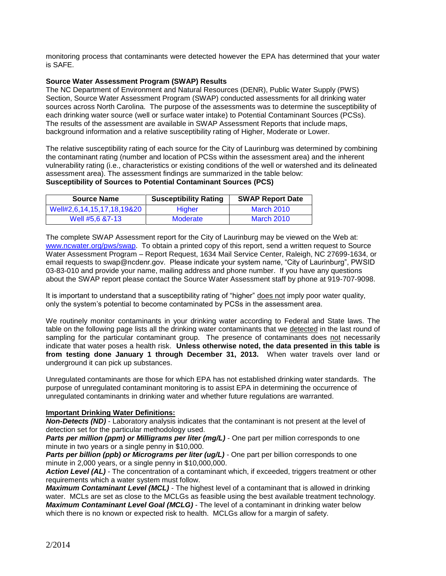monitoring process that contaminants were detected however the EPA has determined that your water is SAFE.

#### **Source Water Assessment Program (SWAP) Results**

The NC Department of Environment and Natural Resources (DENR), Public Water Supply (PWS) Section, Source Water Assessment Program (SWAP) conducted assessments for all drinking water sources across North Carolina. The purpose of the assessments was to determine the susceptibility of each drinking water source (well or surface water intake) to Potential Contaminant Sources (PCSs). The results of the assessment are available in SWAP Assessment Reports that include maps, background information and a relative susceptibility rating of Higher, Moderate or Lower.

The relative susceptibility rating of each source for the City of Laurinburg was determined by combining the contaminant rating (number and location of PCSs within the assessment area) and the inherent vulnerability rating (i.e., characteristics or existing conditions of the well or watershed and its delineated assessment area). The assessment findings are summarized in the table below: **Susceptibility of Sources to Potential Contaminant Sources (PCS)**

| <b>Source Name</b>         | <b>Susceptibility Rating</b> | <b>SWAP Report Date</b> |
|----------------------------|------------------------------|-------------------------|
| Well#2,6,14,15,17,18,19&20 | <b>Higher</b>                | March 2010              |
| Well #5.6 &7-13            | Moderate                     | March 2010              |

The complete SWAP Assessment report for the City of Laurinburg may be viewed on the Web at: [www.ncwater.org/pws/swap.](http://www.ncwater.org/pws/swap) To obtain a printed copy of this report, send a written request to Source Water Assessment Program – Report Request, 1634 Mail Service Center, Raleigh, NC 27699-1634, or email requests to swap@ncdenr.gov. Please indicate your system name, "City of Laurinburg", PWSID 03-83-010 and provide your name, mailing address and phone number. If you have any questions about the SWAP report please contact the Source Water Assessment staff by phone at 919-707-9098.

It is important to understand that a susceptibility rating of "higher" does not imply poor water quality, only the system's potential to become contaminated by PCSs in the assessment area.

We routinely monitor contaminants in your drinking water according to Federal and State laws. The table on the following page lists all the drinking water contaminants that we detected in the last round of sampling for the particular contaminant group. The presence of contaminants does not necessarily indicate that water poses a health risk. **Unless otherwise noted, the data presented in this table is from testing done January 1 through December 31, 2013.** When water travels over land or underground it can pick up substances.

Unregulated contaminants are those for which EPA has not established drinking water standards. The purpose of unregulated contaminant monitoring is to assist EPA in determining the occurrence of unregulated contaminants in drinking water and whether future regulations are warranted.

#### **Important Drinking Water Definitions:**

*Non-Detects (ND)* - Laboratory analysis indicates that the contaminant is not present at the level of detection set for the particular methodology used.

*Parts per million (ppm) or Milligrams per liter (mg/L)* - One part per million corresponds to one minute in two years or a single penny in \$10,000.

**Parts per billion (ppb) or Micrograms per liter (ug/L)** - One part per billion corresponds to one minute in 2,000 years, or a single penny in \$10,000,000.

*Action Level (AL) -* The concentration of a contaminant which, if exceeded, triggers treatment or other requirements which a water system must follow.

*Maximum Contaminant Level (MCL)* - The highest level of a contaminant that is allowed in drinking water. MCLs are set as close to the MCLGs as feasible using the best available treatment technology. *Maximum Contaminant Level Goal (MCLG)* - The level of a contaminant in drinking water below which there is no known or expected risk to health. MCLGs allow for a margin of safety.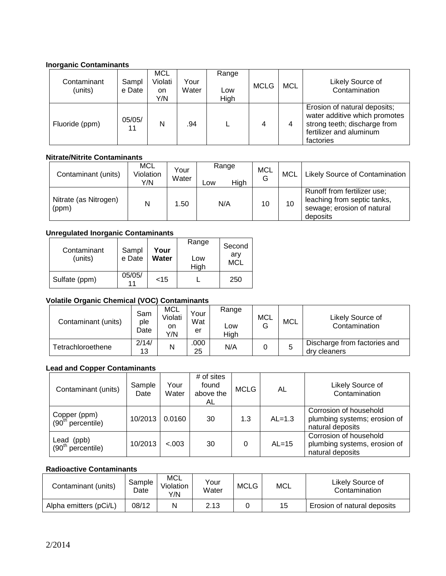### **Inorganic Contaminants**

| Contaminant<br>(units) | Sampl<br>e Date | <b>MCL</b><br>Violati<br>on.<br>Y/N | Your<br>Water | Range<br>Low<br>High | <b>MCLG</b> | <b>MCL</b> | Likely Source of<br>Contamination                                                                                                     |
|------------------------|-----------------|-------------------------------------|---------------|----------------------|-------------|------------|---------------------------------------------------------------------------------------------------------------------------------------|
| Fluoride (ppm)         | 05/05/<br>11    | N                                   | .94           |                      | 4           | 4          | Erosion of natural deposits;<br>water additive which promotes<br>strong teeth; discharge from<br>fertilizer and aluminum<br>factories |

## **Nitrate/Nitrite Contaminants**

| Contaminant (units)            | MCL<br>Violation<br>Y/N | Your<br>Water | Range<br>High<br>Low | MCL<br>G | <b>MCL</b> | Likely Source of Contamination                                                                       |
|--------------------------------|-------------------------|---------------|----------------------|----------|------------|------------------------------------------------------------------------------------------------------|
| Nitrate (as Nitrogen)<br>(ppm) | N                       | .50           | N/A                  | 10       | 10         | Runoff from fertilizer use;<br>leaching from septic tanks,<br>sewage; erosion of natural<br>deposits |

### **Unregulated Inorganic Contaminants**

| Contaminant<br>(units) | Sampl<br>e Date | Your<br>Water | Range<br>Low<br>High | Second<br>arv<br><b>MCL</b> |
|------------------------|-----------------|---------------|----------------------|-----------------------------|
| Sulfate (ppm)          | 05/05/          | $<$ 15        |                      | 250                         |

## **Volatile Organic Chemical (VOC) Contaminants**

| Contaminant (units) | Sam<br>ple<br>Date | MCL<br>Violati<br>on<br>Y/N | Your<br>Wat<br>er | Range<br>∟ow<br>High | <b>MCL</b> | <b>MCL</b> | Likely Source of<br>Contamination            |
|---------------------|--------------------|-----------------------------|-------------------|----------------------|------------|------------|----------------------------------------------|
| Tetrachloroethene   | 2/14/<br>13        | N                           | .000<br>25        | N/A                  |            | G          | Discharge from factories and<br>dry cleaners |

## **Lead and Copper Contaminants**

| Contaminant (units)                               | Sample<br>Date | Your<br>Water | # of sites<br>found<br>above the<br>AL | <b>MCLG</b> | AL       | Likely Source of<br>Contamination                                          |
|---------------------------------------------------|----------------|---------------|----------------------------------------|-------------|----------|----------------------------------------------------------------------------|
| Copper (ppm)<br>$(90th$ percentile)               | 10/2013        | 0.0160        | 30                                     | 1.3         | $AL=1.3$ | Corrosion of household<br>plumbing systems; erosion of<br>natural deposits |
| (ppb)<br>Lead<br>$(90^{\text{th}}$<br>percentile) | 10/2013        | &0.003        | 30                                     | 0           | $AL=15$  | Corrosion of household<br>plumbing systems, erosion of<br>natural deposits |

### **Radioactive Contaminants**

| Contaminant (units)    | Sample<br>Date | MCL<br>Violation<br>Y/N | Your<br>Water | <b>MCLG</b> | MCL | Likely Source of<br>Contamination |
|------------------------|----------------|-------------------------|---------------|-------------|-----|-----------------------------------|
| Alpha emitters (pCi/L) | 08/12          | N                       | 2.13          |             | 15  | Erosion of natural deposits       |